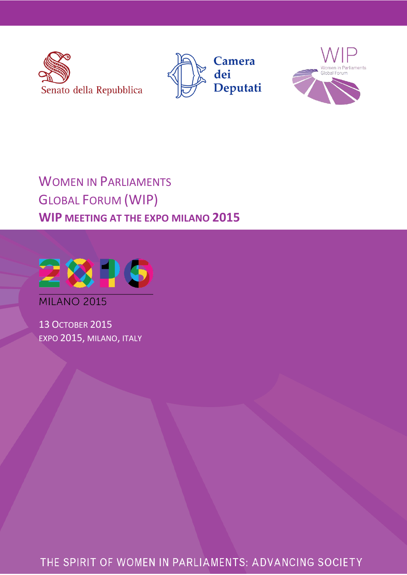





# WOMEN IN PARLIAMENTS GLOBAL FORUM (WIP) **WIP MEETING AT THE EXPO MILANO 2015**



**MILANO 2015** 

13 OCTOBER 2015 EXPO 2015, MILANO, ITALY

THE SPIRIT OF WOMEN IN PARLIAMENTS: ADVANCING SOCIETY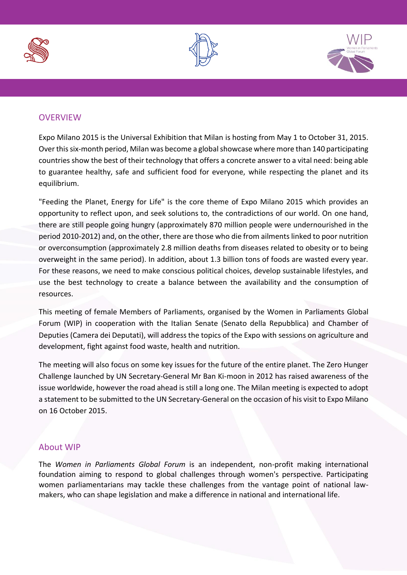





## **OVERVIEW**

Expo Milano 2015 is the Universal Exhibition that Milan is hosting from May 1 to October 31, 2015. Over this six-month period, Milan was become a global showcase where more than 140 participating countries show the best of their technology that offers a concrete answer to a vital need: being able to guarantee healthy, safe and sufficient food for everyone, while respecting the planet and its equilibrium.

"Feeding the Planet, Energy for Life" is the core theme of Expo Milano 2015 which provides an opportunity to reflect upon, and seek solutions to, the contradictions of our world. On one hand, there are still people going hungry (approximately 870 million people were undernourished in the period 2010-2012) and, on the other, there are those who die from ailments linked to poor nutrition or overconsumption (approximately 2.8 million deaths from diseases related to obesity or to being overweight in the same period). In addition, about 1.3 billion tons of foods are wasted every year. For these reasons, we need to make conscious political choices, develop sustainable lifestyles, and use the best technology to create a balance between the availability and the consumption of resources.

This meeting of female Members of Parliaments, organised by the Women in Parliaments Global Forum (WIP) in cooperation with the Italian Senate (Senato della Repubblica) and Chamber of Deputies (Camera dei Deputati), will address the topics of the Expo with sessions on agriculture and development, fight against food waste, health and nutrition.

The meeting will also focus on some key issues for the future of the entire planet. The Zero Hunger Challenge launched by UN Secretary-General Mr Ban Ki-moon in 2012 has raised awareness of the issue worldwide, however the road ahead is still a long one. The Milan meeting is expected to adopt a statement to be submitted to the UN Secretary-General on the occasion of his visit to Expo Milano on 16 October 2015.

### About WIP

The *Women in Parliaments Global Forum* is an independent, non-profit making international foundation aiming to respond to global challenges through women's perspective. Participating women parliamentarians may tackle these challenges from the vantage point of national lawmakers, who can shape legislation and make a difference in national and international life.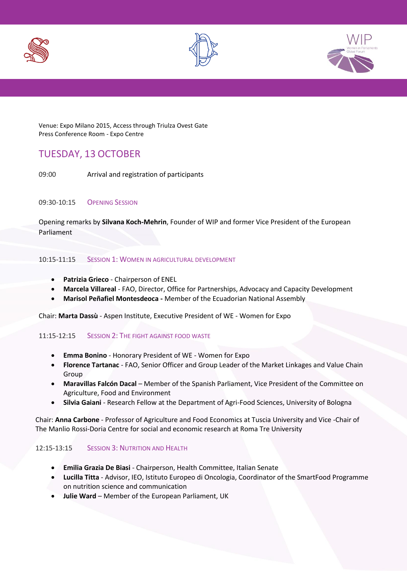





Venue: Expo Milano 2015, Access through Triulza Ovest Gate Press Conference Room - Expo Centre

# TUESDAY, 13 OCTOBER

09:00 Arrival and registration of participants

#### 09:30-10:15 OPENING SESSION

Opening remarks by **Silvana Koch-Mehrin**, Founder of WIP and former Vice President of the European Parliament

#### 10:15-11:15 SESSION 1: WOMEN IN AGRICULTURAL DEVELOPMENT

- **Patrizia Grieco** Chairperson of ENEL
- **Marcela Villareal** FAO, Director, Office for Partnerships, Advocacy and Capacity Development
- **Marisol Peñafiel Montesdeoca -** Member of the Ecuadorian National Assembly

Chair: **Marta Dassù** - Aspen Institute, Executive President of WE - Women for Expo

#### 11:15-12:15 SESSION 2: THE FIGHT AGAINST FOOD WASTE

- **Emma Bonino** Honorary President of WE Women for Expo
- **Florence Tartanac**  FAO, Senior Officer and Group Leader of the Market Linkages and Value Chain Group
- **Maravillas Falcón Dacal** Member of the Spanish Parliament, Vice President of the Committee on Agriculture, Food and Environment
- **Silvia Gaiani** Research Fellow at the Department of Agri-Food Sciences, University of Bologna

Chair: **Anna Carbone** - Professor of Agriculture and Food Economics at Tuscia University and Vice -Chair of The Manlio Rossi-Doria Centre for social and economic research at Roma Tre University

#### 12:15-13:15 SESSION 3: NUTRITION AND HEALTH

- **Emilia Grazia De Biasi** Chairperson, Health Committee, Italian Senate
- **Lucilla Titta** Advisor, IEO, Istituto Europeo di Oncologia, Coordinator of the SmartFood Programme on nutrition science and communication
- **Julie Ward** Member of the European Parliament, UK